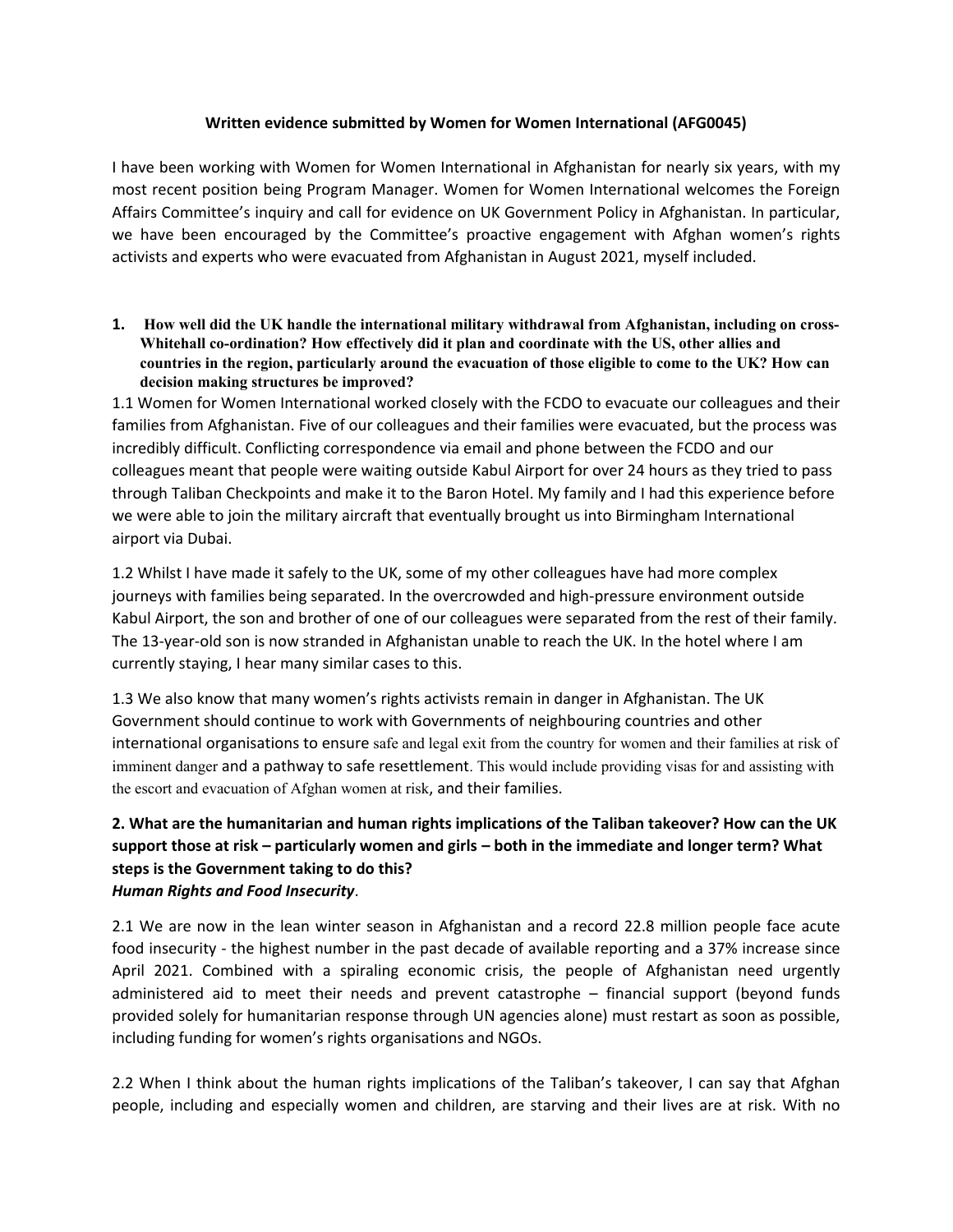## **Written evidence submitted by Women for Women International (AFG0045)**

I have been working with Women for Women International in Afghanistan for nearly six years, with my most recent position being Program Manager. Women for Women International welcomes the Foreign Affairs Committee's inquiry and call for evidence on UK Government Policy in Afghanistan. In particular, we have been encouraged by the Committee's proactive engagement with Afghan women's rights activists and experts who were evacuated from Afghanistan in August 2021, myself included.

**1. How well did the UK handle the international military withdrawal from Afghanistan, including on cross-Whitehall co-ordination? How effectively did it plan and coordinate with the US, other allies and** countries in the region, particularly around the evacuation of those eligible to come to the UK? How can **decision making structures be improved?**

1.1 Women for Women International worked closely with the FCDO to evacuate our colleagues and their families from Afghanistan. Five of our colleagues and their families were evacuated, but the process was incredibly difficult. Conflicting correspondence via email and phone between the FCDO and our colleagues meant that people were waiting outside Kabul Airport for over 24 hours as they tried to pass through Taliban Checkpoints and make it to the Baron Hotel. My family and I had this experience before we were able to join the military aircraft that eventually brought us into Birmingham International airport via Dubai.

1.2 Whilst I have made it safely to the UK, some of my other colleagues have had more complex journeys with families being separated. In the overcrowded and high-pressure environment outside Kabul Airport, the son and brother of one of our colleagues were separated from the rest of their family. The 13-year-old son is now stranded in Afghanistan unable to reach the UK. In the hotel where I am currently staying, I hear many similar cases to this.

1.3 We also know that many women's rights activists remain in danger in Afghanistan. The UK Government should continue to work with Governments of neighbouring countries and other international organisations to ensure safe and legal exit from the country for women and their families at risk of imminent danger and a pathway to safe resettlement. This would include providing visas for and assisting with the escort and evacuation of Afghan women at risk, and their families.

## **2. What are the humanitarian and human rights implications of the Taliban takeover? How can the UK support those at risk – particularly women and girls – both in the immediate and longer term? What steps is the Government taking to do this?**  *Human Rights and Food Insecurity*.

2.1 We are now in the lean winter season in Afghanistan and a record 22.8 million people face acute food insecurity - the highest number in the past decade of available reporting and a 37% increase since April 2021. Combined with a spiraling economic crisis, the people of Afghanistan need urgently administered aid to meet their needs and prevent catastrophe – financial support (beyond funds provided solely for humanitarian response through UN agencies alone) must restart as soon as possible, including funding for women's rights organisations and NGOs.

2.2 When I think about the human rights implications of the Taliban's takeover, I can say that Afghan people, including and especially women and children, are starving and their lives are at risk. With no